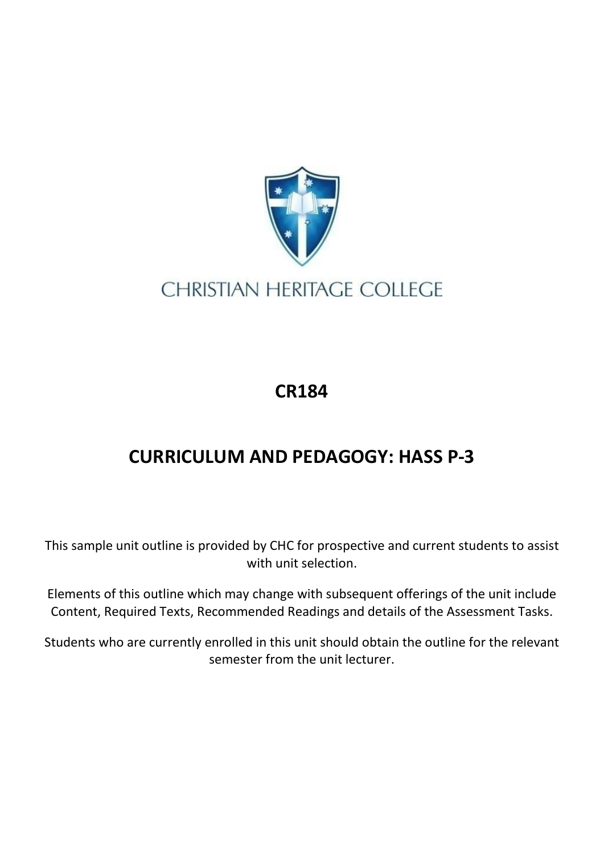

## **CHRISTIAN HERITAGE COLLEGE**

## **CR184**

## **CURRICULUM AND PEDAGOGY: HASS P-3**

This sample unit outline is provided by CHC for prospective and current students to assist with unit selection.

Elements of this outline which may change with subsequent offerings of the unit include Content, Required Texts, Recommended Readings and details of the Assessment Tasks.

Students who are currently enrolled in this unit should obtain the outline for the relevant semester from the unit lecturer.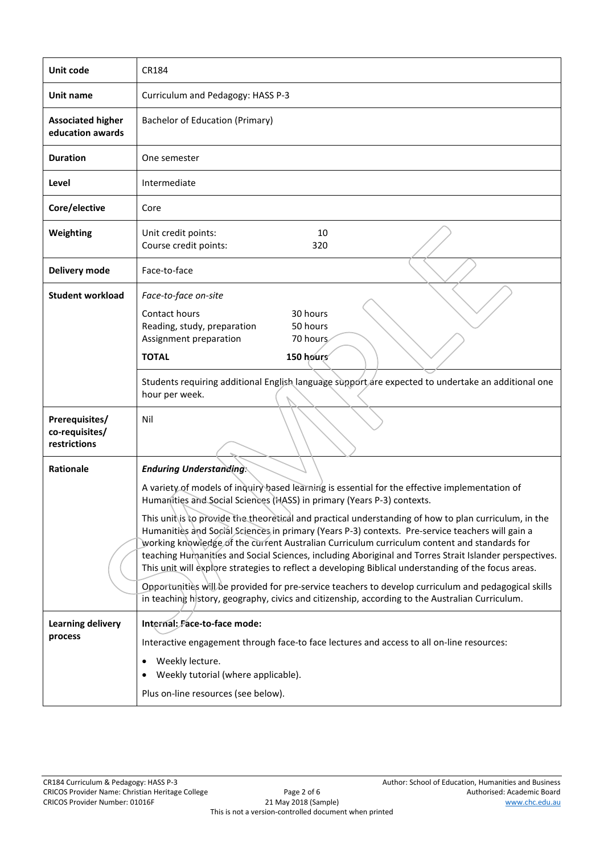| Unit code                                        | CR184                                                                                                                                                                                                                                                                                                                                                                                                                                                                                                                      |  |  |  |
|--------------------------------------------------|----------------------------------------------------------------------------------------------------------------------------------------------------------------------------------------------------------------------------------------------------------------------------------------------------------------------------------------------------------------------------------------------------------------------------------------------------------------------------------------------------------------------------|--|--|--|
| Unit name                                        | Curriculum and Pedagogy: HASS P-3                                                                                                                                                                                                                                                                                                                                                                                                                                                                                          |  |  |  |
| <b>Associated higher</b><br>education awards     | <b>Bachelor of Education (Primary)</b>                                                                                                                                                                                                                                                                                                                                                                                                                                                                                     |  |  |  |
| <b>Duration</b>                                  | One semester                                                                                                                                                                                                                                                                                                                                                                                                                                                                                                               |  |  |  |
| Level                                            | Intermediate                                                                                                                                                                                                                                                                                                                                                                                                                                                                                                               |  |  |  |
| Core/elective                                    | Core                                                                                                                                                                                                                                                                                                                                                                                                                                                                                                                       |  |  |  |
| Weighting                                        | 10<br>Unit credit points:<br>Course credit points:<br>320                                                                                                                                                                                                                                                                                                                                                                                                                                                                  |  |  |  |
| Delivery mode                                    | Face-to-face                                                                                                                                                                                                                                                                                                                                                                                                                                                                                                               |  |  |  |
| <b>Student workload</b>                          | Face-to-face on-site<br>Contact hours<br>30 hours<br>Reading, study, preparation<br>50 hours<br>Assignment preparation<br>70 hours<br>150 hours<br><b>TOTAL</b>                                                                                                                                                                                                                                                                                                                                                            |  |  |  |
|                                                  | Students requiring additional English language support are expected to undertake an additional one<br>hour per week.                                                                                                                                                                                                                                                                                                                                                                                                       |  |  |  |
| Prerequisites/<br>co-requisites/<br>restrictions | Nil                                                                                                                                                                                                                                                                                                                                                                                                                                                                                                                        |  |  |  |
| <b>Rationale</b>                                 | <b>Enduring Understanding:</b>                                                                                                                                                                                                                                                                                                                                                                                                                                                                                             |  |  |  |
|                                                  | A variety of models of inquiry based learning is essential for the effective implementation of<br>Humanities and Social Sciences (HASS) in primary (Years P-3) contexts.                                                                                                                                                                                                                                                                                                                                                   |  |  |  |
|                                                  | This unit is to provide the theoretical and practical understanding of how to plan curriculum, in the<br>Humanities and Social Sciences in primary (Years P-3) contexts. Pre-service teachers will gain a<br>working knowledge of the current Australian Curriculum curriculum content and standards for<br>teaching Humanities and Social Sciences, including Aboriginal and Torres Strait Islander perspectives.<br>This unit will explore strategies to reflect a developing Biblical understanding of the focus areas. |  |  |  |
|                                                  | Opportunities will be provided for pre-service teachers to develop curriculum and pedagogical skills<br>in teaching history, geography, civics and citizenship, according to the Australian Curriculum.                                                                                                                                                                                                                                                                                                                    |  |  |  |
| <b>Learning delivery</b>                         | Internal: Face-to-face mode:                                                                                                                                                                                                                                                                                                                                                                                                                                                                                               |  |  |  |
| process                                          | Interactive engagement through face-to face lectures and access to all on-line resources:                                                                                                                                                                                                                                                                                                                                                                                                                                  |  |  |  |
|                                                  | Weekly lecture.<br>$\bullet$<br>Weekly tutorial (where applicable).                                                                                                                                                                                                                                                                                                                                                                                                                                                        |  |  |  |
|                                                  | Plus on-line resources (see below).                                                                                                                                                                                                                                                                                                                                                                                                                                                                                        |  |  |  |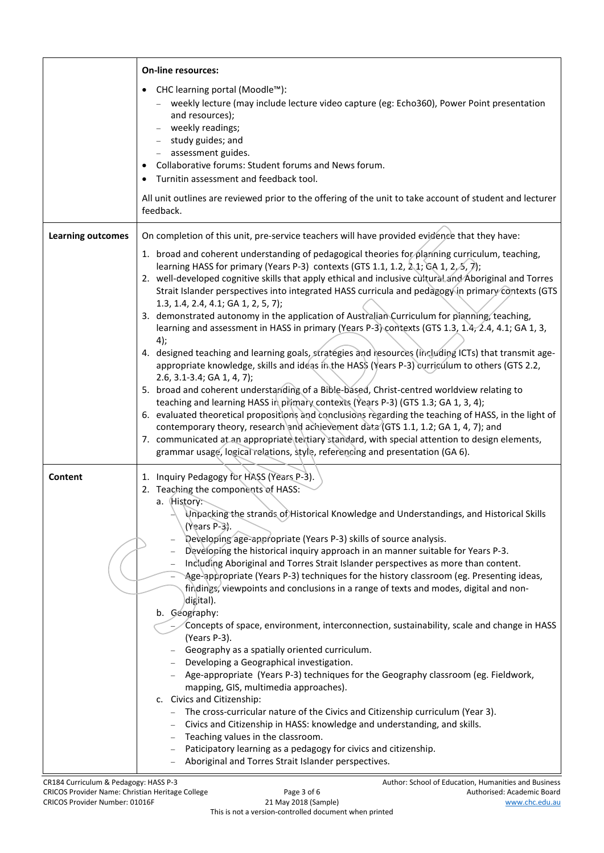|                          | <b>On-line resources:</b>                                                                                                                                                                                                                                                                                                                                                                                                                                                                                                                                                                                                                                                                                                                                                                                                                                                                                                                                                                                                                                                                                                                                                                                                                                                                                                                                                                                                                                              |  |  |
|--------------------------|------------------------------------------------------------------------------------------------------------------------------------------------------------------------------------------------------------------------------------------------------------------------------------------------------------------------------------------------------------------------------------------------------------------------------------------------------------------------------------------------------------------------------------------------------------------------------------------------------------------------------------------------------------------------------------------------------------------------------------------------------------------------------------------------------------------------------------------------------------------------------------------------------------------------------------------------------------------------------------------------------------------------------------------------------------------------------------------------------------------------------------------------------------------------------------------------------------------------------------------------------------------------------------------------------------------------------------------------------------------------------------------------------------------------------------------------------------------------|--|--|
|                          | CHC learning portal (Moodle™):<br>weekly lecture (may include lecture video capture (eg: Echo360), Power Point presentation<br>and resources);<br>- weekly readings;<br>- study guides; and<br>- assessment guides.<br>Collaborative forums: Student forums and News forum.<br>Turnitin assessment and feedback tool.                                                                                                                                                                                                                                                                                                                                                                                                                                                                                                                                                                                                                                                                                                                                                                                                                                                                                                                                                                                                                                                                                                                                                  |  |  |
|                          | All unit outlines are reviewed prior to the offering of the unit to take account of student and lecturer<br>feedback.                                                                                                                                                                                                                                                                                                                                                                                                                                                                                                                                                                                                                                                                                                                                                                                                                                                                                                                                                                                                                                                                                                                                                                                                                                                                                                                                                  |  |  |
| <b>Learning outcomes</b> | On completion of this unit, pre-service teachers will have provided evidence that they have:                                                                                                                                                                                                                                                                                                                                                                                                                                                                                                                                                                                                                                                                                                                                                                                                                                                                                                                                                                                                                                                                                                                                                                                                                                                                                                                                                                           |  |  |
|                          | 1. broad and coherent understanding of pedagogical theories for planning curriculum, teaching,<br>learning HASS for primary (Years P-3) contexts (GTS 1.1, 1.2, 2.1; GA 1, 2, 5, 7);<br>2. well-developed cognitive skills that apply ethical and inclusive cultural and Aboriginal and Torres<br>Strait Islander perspectives into integrated HASS curricula and pedagogy in primary contexts (GTS<br>1.3, 1.4, 2.4, 4.1; GA 1, 2, 5, 7);<br>3. demonstrated autonomy in the application of Australian Curriculum for planning, teaching,<br>learning and assessment in HASS in primary (Years P-3) contexts (GTS 1.3, 1.4, 2.4, 4.1; GA 1, 3,<br>4);<br>4. designed teaching and learning goals, strategies and resources (including ICTs) that transmit age-<br>appropriate knowledge, skills and ideas in the HAS\$ (Years P-3) curriculum to others (GTS 2.2,<br>2.6, 3.1-3.4; GA 1, 4, 7);<br>5. broad and coherent understanding of a Bible-based, Christ-centred worldview relating to<br>teaching and learning HASS in primary contexts (Years P-3) (GTS 1.3; GA 1, 3, 4);<br>6. evaluated theoretical propositions and conclusions regarding the teaching of HASS, in the light of<br>contemporary theory, research and achievement data (GTS 1.1, 1.2; GA 1, 4, 7); and<br>7. communicated at an appropriate textiary standard, with special attention to design elements,<br>grammar usage, logical relations, style, referencing and presentation (GA 6). |  |  |
| Content                  | 1. Inquiry Pedagogy for HASS (Years P-3).                                                                                                                                                                                                                                                                                                                                                                                                                                                                                                                                                                                                                                                                                                                                                                                                                                                                                                                                                                                                                                                                                                                                                                                                                                                                                                                                                                                                                              |  |  |
|                          | 2. Teaching the components of HASS:<br>a. History:<br>Unpacking the strands of Historical Knowledge and Understandings, and Historical Skills<br>$(Years P-3)$ .<br>Developing age-appropriate (Years P-3) skills of source analysis.<br>Developing the historical inquiry approach in an manner suitable for Years P-3.<br>Including Aboriginal and Torres Strait Islander perspectives as more than content.<br>Age-appropriate (Years P-3) techniques for the history classroom (eg. Presenting ideas,<br>findings, viewpoints and conclusions in a range of texts and modes, digital and non-<br>digital).<br>b. Geography:<br>Concepts of space, environment, interconnection, sustainability, scale and change in HASS<br>(Years P-3).<br>Geography as a spatially oriented curriculum.<br>- Developing a Geographical investigation.<br>- Age-appropriate (Years P-3) techniques for the Geography classroom (eg. Fieldwork,<br>mapping, GIS, multimedia approaches).<br>c. Civics and Citizenship:<br>The cross-curricular nature of the Civics and Citizenship curriculum (Year 3).<br>Civics and Citizenship in HASS: knowledge and understanding, and skills.<br>Teaching values in the classroom.<br>Paticipatory learning as a pedagogy for civics and citizenship.<br>Aboriginal and Torres Strait Islander perspectives.                                                                                                                                |  |  |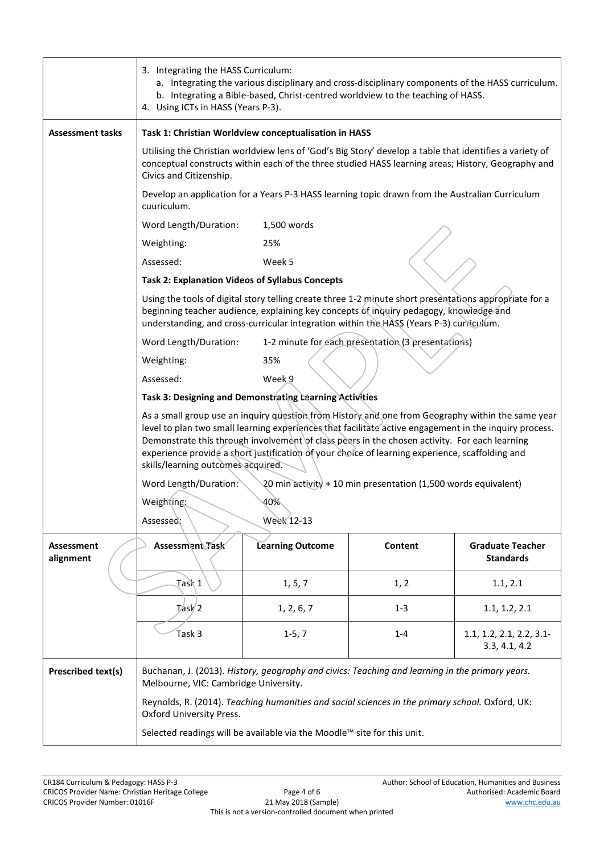|                           | 3. Integrating the HASS Curriculum:<br>a. Integrating the various disciplinary and cross-disciplinary components of the HASS curriculum.<br>b. Integrating a Bible-based, Christ-centred worldview to the teaching of HASS.<br>4. Using ICTs in HASS (Years P-3).                                                                                                                                                                                     |                                                                         |         |                                             |  |
|---------------------------|-------------------------------------------------------------------------------------------------------------------------------------------------------------------------------------------------------------------------------------------------------------------------------------------------------------------------------------------------------------------------------------------------------------------------------------------------------|-------------------------------------------------------------------------|---------|---------------------------------------------|--|
| <b>Assessment tasks</b>   | Task 1: Christian Worldview conceptualisation in HASS                                                                                                                                                                                                                                                                                                                                                                                                 |                                                                         |         |                                             |  |
|                           | Utilising the Christian worldview lens of 'God's Big Story' develop a table that identifies a variety of<br>conceptual constructs within each of the three studied HASS learning areas; History, Geography and<br>Civics and Citizenship.                                                                                                                                                                                                             |                                                                         |         |                                             |  |
|                           | Develop an application for a Years P-3 HASS learning topic drawn from the Australian Curriculum<br>cuuriculum.                                                                                                                                                                                                                                                                                                                                        |                                                                         |         |                                             |  |
|                           | Word Length/Duration:                                                                                                                                                                                                                                                                                                                                                                                                                                 | 1,500 words                                                             |         |                                             |  |
|                           | Weighting:                                                                                                                                                                                                                                                                                                                                                                                                                                            | 25%                                                                     |         |                                             |  |
|                           | Assessed:                                                                                                                                                                                                                                                                                                                                                                                                                                             | Week 5                                                                  |         |                                             |  |
|                           | <b>Task 2: Explanation Videos of Syllabus Concepts</b>                                                                                                                                                                                                                                                                                                                                                                                                |                                                                         |         |                                             |  |
|                           | Using the tools of digital story telling create three 1-2 minute short presentations appropriate for a<br>beginning teacher audience, explaining key concepts of inquiry pedagogy, knowledge and<br>understanding, and cross-curricular integration within the HASS (Years P-3) curriculum.                                                                                                                                                           |                                                                         |         |                                             |  |
|                           | 1-2 minute for each presentation (3 presentations)<br>Word Length/Duration:                                                                                                                                                                                                                                                                                                                                                                           |                                                                         |         |                                             |  |
|                           | Weighting:<br>35%                                                                                                                                                                                                                                                                                                                                                                                                                                     |                                                                         |         |                                             |  |
|                           | Assessed:<br>Week 9                                                                                                                                                                                                                                                                                                                                                                                                                                   |                                                                         |         |                                             |  |
|                           | Task 3: Designing and Demonstrating Learning Activities                                                                                                                                                                                                                                                                                                                                                                                               |                                                                         |         |                                             |  |
|                           | As a small group use an inquiry question from History and one from Geography within the same year<br>level to plan two small learning experiences that facilitate active engagement in the inquiry process.<br>Demonstrate this through involvement of class peers in the chosen activity. For each learning<br>experience provide a short justification of your choice of learning experience, scaffolding and<br>skills/learning outcomes acquired. |                                                                         |         |                                             |  |
|                           | Word Length/Duration:<br>20 min activity + 10 min presentation (1,500 words equivalent)                                                                                                                                                                                                                                                                                                                                                               |                                                                         |         |                                             |  |
|                           | 40%<br>Weighting:                                                                                                                                                                                                                                                                                                                                                                                                                                     |                                                                         |         |                                             |  |
|                           | Assessed:<br>Week 12-13                                                                                                                                                                                                                                                                                                                                                                                                                               |                                                                         |         |                                             |  |
| Assessment<br>alignment   | Assessment Task                                                                                                                                                                                                                                                                                                                                                                                                                                       | <b>Learning Outcome</b>                                                 | Content | <b>Graduate Teacher</b><br><b>Standards</b> |  |
|                           | Task 1                                                                                                                                                                                                                                                                                                                                                                                                                                                | 1, 5, 7                                                                 | 1, 2    | 1.1, 2.1                                    |  |
|                           | $T$ ask $/2$                                                                                                                                                                                                                                                                                                                                                                                                                                          | 1, 2, 6, 7                                                              | $1 - 3$ | 1.1, 1.2, 2.1                               |  |
|                           | Task 3                                                                                                                                                                                                                                                                                                                                                                                                                                                | $1-5, 7$                                                                | $1 - 4$ | 1.1, 1.2, 2.1, 2.2, 3.1<br>3.3, 4.1, 4.2    |  |
| <b>Prescribed text(s)</b> | Buchanan, J. (2013). History, geography and civics: Teaching and learning in the primary years.<br>Melbourne, VIC: Cambridge University.                                                                                                                                                                                                                                                                                                              |                                                                         |         |                                             |  |
|                           | Reynolds, R. (2014). Teaching humanities and social sciences in the primary school. Oxford, UK:<br>Oxford University Press.                                                                                                                                                                                                                                                                                                                           |                                                                         |         |                                             |  |
|                           |                                                                                                                                                                                                                                                                                                                                                                                                                                                       | Selected readings will be available via the Moodle™ site for this unit. |         |                                             |  |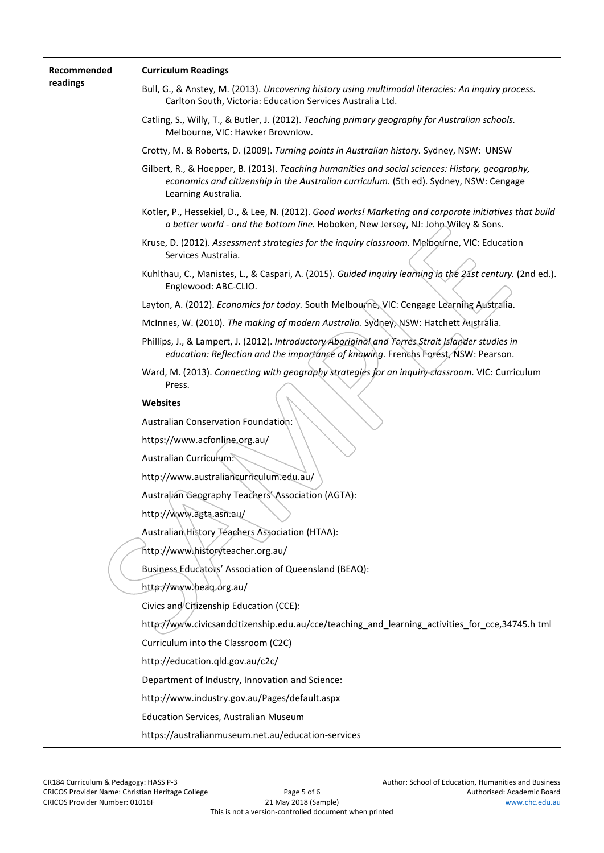| Recommended<br>readings | <b>Curriculum Readings</b>                                                                                                                                                                                       |  |  |  |
|-------------------------|------------------------------------------------------------------------------------------------------------------------------------------------------------------------------------------------------------------|--|--|--|
|                         | Bull, G., & Anstey, M. (2013). Uncovering history using multimodal literacies: An inquiry process.<br>Carlton South, Victoria: Education Services Australia Ltd.                                                 |  |  |  |
|                         | Catling, S., Willy, T., & Butler, J. (2012). Teaching primary geography for Australian schools.<br>Melbourne, VIC: Hawker Brownlow.                                                                              |  |  |  |
|                         | Crotty, M. & Roberts, D. (2009). Turning points in Australian history. Sydney, NSW: UNSW                                                                                                                         |  |  |  |
|                         | Gilbert, R., & Hoepper, B. (2013). Teaching humanities and social sciences: History, geography,<br>economics and citizenship in the Australian curriculum. (5th ed). Sydney, NSW: Cengage<br>Learning Australia. |  |  |  |
|                         | Kotler, P., Hessekiel, D., & Lee, N. (2012). Good works! Marketing and corporate initiatives that build<br>a better world - and the bottom line. Hoboken, New Jersey, NJ: John Wiley & Sons.                     |  |  |  |
|                         | Kruse, D. (2012). Assessment strategies for the inquiry classroom. Melbourne, VIC: Education<br>Services Australia.                                                                                              |  |  |  |
|                         | Kuhlthau, C., Manistes, L., & Caspari, A. (2015). Guided inquiry learning in the 21st century. (2nd ed.).<br>Englewood: ABC-CLIO.                                                                                |  |  |  |
|                         | Layton, A. (2012). Economics for today. South Melbourne, VIC: Cengage Learning Australia.                                                                                                                        |  |  |  |
|                         | McInnes, W. (2010). The making of modern Australia. Sydney, NSW: Hatchett Australia.                                                                                                                             |  |  |  |
|                         | Phillips, J., & Lampert, J. (2012). Introductory Aboriginal and Torres Strait Islander studies in<br>education: Reflection and the importance of knowing. Frenchs Forest, NSW: Pearson.                          |  |  |  |
|                         | Ward, M. (2013). Connecting with geography strategies for an inquiry classroom. VIC: Curriculum<br>Press.                                                                                                        |  |  |  |
|                         | Websites                                                                                                                                                                                                         |  |  |  |
|                         | Australian Conservation Foundation:                                                                                                                                                                              |  |  |  |
|                         | https://www.acfonline.org.au/                                                                                                                                                                                    |  |  |  |
|                         | Australian Curriculum:                                                                                                                                                                                           |  |  |  |
|                         | http://www.australiancurriculum.edu.au/                                                                                                                                                                          |  |  |  |
|                         | Australian Geography Teachers' Association (AGTA):                                                                                                                                                               |  |  |  |
|                         | http://www.agta.asn.au/                                                                                                                                                                                          |  |  |  |
|                         | Australian History Teachers Association (HTAA):                                                                                                                                                                  |  |  |  |
|                         | http://www.historyteacher.org.au/                                                                                                                                                                                |  |  |  |
|                         | Business Educators' Association of Queensland (BEAQ):                                                                                                                                                            |  |  |  |
|                         | http://www.beaq.org.au/                                                                                                                                                                                          |  |  |  |
|                         | Civics and Citizenship Education (CCE):                                                                                                                                                                          |  |  |  |
|                         | http://www.civicsandcitizenship.edu.au/cce/teaching_and_learning_activities_for_cce,34745.h tml                                                                                                                  |  |  |  |
|                         | Curriculum into the Classroom (C2C)                                                                                                                                                                              |  |  |  |
|                         | http://education.qld.gov.au/c2c/                                                                                                                                                                                 |  |  |  |
|                         | Department of Industry, Innovation and Science:                                                                                                                                                                  |  |  |  |
|                         | http://www.industry.gov.au/Pages/default.aspx<br>Education Services, Australian Museum                                                                                                                           |  |  |  |
|                         | https://australianmuseum.net.au/education-services                                                                                                                                                               |  |  |  |
|                         |                                                                                                                                                                                                                  |  |  |  |